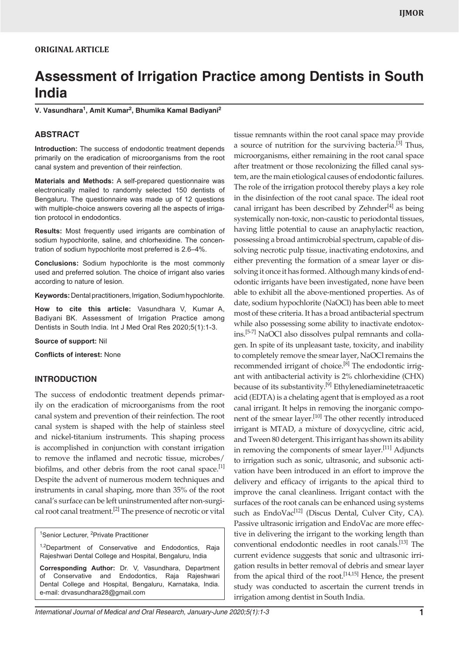# **Assessment of Irrigation Practice among Dentists in South India**

**V. Vasundhara1 , Amit Kumar<sup>2</sup> , Bhumika Kamal Badiyani2**

#### **ABSTRACT**

**Introduction:** The success of endodontic treatment depends primarily on the eradication of microorganisms from the root canal system and prevention of their reinfection.

**Materials and Methods:** A self-prepared questionnaire was electronically mailed to randomly selected 150 dentists of Bengaluru. The questionnaire was made up of 12 questions with multiple-choice answers covering all the aspects of irrigation protocol in endodontics.

**Results:** Most frequently used irrigants are combination of sodium hypochlorite, saline, and chlorhexidine. The concentration of sodium hypochlorite most preferred is 2.6–4%.

**Conclusions:** Sodium hypochlorite is the most commonly used and preferred solution. The choice of irrigant also varies according to nature of lesion.

**Keywords:** Dental practitioners, Irrigation, Sodium hypochlorite.

**How to cite this article:** Vasundhara V, Kumar A, Badiyani BK. Assessment of Irrigation Practice among Dentists in South India. Int J Med Oral Res 2020;5(1):1-3.

**Source of support:** Nil

**Conflicts of interest:** None

#### **INTRODUCTION**

The success of endodontic treatment depends primarily on the eradication of microorganisms from the root canal system and prevention of their reinfection. The root canal system is shaped with the help of stainless steel and nickel-titanium instruments. This shaping process is accomplished in conjunction with constant irrigation to remove the inflamed and necrotic tissue, microbes/ biofilms, and other debris from the root canal space.<sup>[1]</sup> Despite the advent of numerous modern techniques and instruments in canal shaping, more than 35% of the root canal's surface can be left uninstrumented after non-surgical root canal treatment.<sup>[2]</sup> The presence of necrotic or vital

<sup>1</sup>Senior Lecturer, <sup>2</sup>Private Practitioner

<sup>1,2</sup>Department of Conservative and Endodontics, Raja Rajeshwari Dental College and Hospital, Bengaluru, India

**Corresponding Author:** Dr. V, Vasundhara, Department of Conservative and Endodontics, Raja Rajeshwari Dental College and Hospital, Bengaluru, Karnataka, India. e-mail: drvasundhara28@gmail.com

tissue remnants within the root canal space may provide a source of nutrition for the surviving bacteria.<sup>[3]</sup> Thus, microorganisms, either remaining in the root canal space after treatment or those recolonizing the filled canal system, are the main etiological causes of endodontic failures. The role of the irrigation protocol thereby plays a key role in the disinfection of the root canal space. The ideal root canal irrigant has been described by Zehnder<sup>[4]</sup> as being systemically non-toxic, non-caustic to periodontal tissues, having little potential to cause an anaphylactic reaction, possessing a broad antimicrobial spectrum, capable of dissolving necrotic pulp tissue, inactivating endotoxins, and either preventing the formation of a smear layer or dissolving it once it has formed. Although many kinds of endodontic irrigants have been investigated, none have been able to exhibit all the above-mentioned properties. As of date, sodium hypochlorite (NaOCl) has been able to meet most of these criteria. It has a broad antibacterial spectrum while also possessing some ability to inactivate endotoxins.[5-7] NaOCl also dissolves pulpal remnants and collagen. In spite of its unpleasant taste, toxicity, and inability to completely remove the smear layer, NaOCl remains the recommended irrigant of choice.<sup>[8]</sup> The endodontic irrigant with antibacterial activity is 2% chlorhexidine (CHX) because of its substantivity.<sup>[9]</sup> Ethylenediaminetetraacetic acid (EDTA) is a chelating agent that is employed as a root canal irrigant. It helps in removing the inorganic component of the smear layer.<sup>[10]</sup> The other recently introduced irrigant is MTAD, a mixture of doxycycline, citric acid, and Tween 80 detergent. This irrigant has shown its ability in removing the components of smear layer.<sup>[11]</sup> Adjuncts to irrigation such as sonic, ultrasonic, and subsonic activation have been introduced in an effort to improve the delivery and efficacy of irrigants to the apical third to improve the canal cleanliness. Irrigant contact with the surfaces of the root canals can be enhanced using systems such as EndoVac<sup>[12]</sup> (Discus Dental, Culver City, CA). Passive ultrasonic irrigation and EndoVac are more effective in delivering the irrigant to the working length than conventional endodontic needles in root canals.[13] The current evidence suggests that sonic and ultrasonic irrigation results in better removal of debris and smear layer from the apical third of the root.<sup>[14,15]</sup> Hence, the present study was conducted to ascertain the current trends in irrigation among dentist in South India.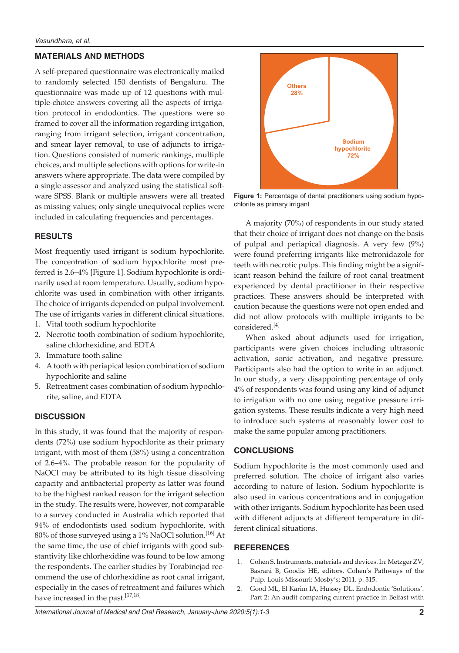## **MATERIALS AND METHODS**

A self-prepared questionnaire was electronically mailed to randomly selected 150 dentists of Bengaluru. The questionnaire was made up of 12 questions with multiple-choice answers covering all the aspects of irrigation protocol in endodontics. The questions were so framed to cover all the information regarding irrigation, ranging from irrigant selection, irrigant concentration, and smear layer removal, to use of adjuncts to irrigation. Questions consisted of numeric rankings, multiple choices, and multiple selections with options for write-in answers where appropriate. The data were compiled by a single assessor and analyzed using the statistical software SPSS. Blank or multiple answers were all treated as missing values; only single unequivocal replies were included in calculating frequencies and percentages.

## **RESULTS**

Most frequently used irrigant is sodium hypochlorite. The concentration of sodium hypochlorite most preferred is 2.6–4% [Figure 1]. Sodium hypochlorite is ordinarily used at room temperature. Usually, sodium hypochlorite was used in combination with other irrigants. The choice of irrigants depended on pulpal involvement. The use of irrigants varies in different clinical situations.

- 1. Vital tooth sodium hypochlorite
- 2. Necrotic tooth combination of sodium hypochlorite, saline chlorhexidine, and EDTA
- 3. Immature tooth saline
- 4. A tooth with periapical lesion combination of sodium hypochlorite and saline
- 5. Retreatment cases combination of sodium hypochlorite, saline, and EDTA

### **DISCUSSION**

In this study, it was found that the majority of respondents (72%) use sodium hypochlorite as their primary irrigant, with most of them (58%) using a concentration of 2.6–4%. The probable reason for the popularity of NaOCl may be attributed to its high tissue dissolving capacity and antibacterial property as latter was found to be the highest ranked reason for the irrigant selection in the study. The results were, however, not comparable to a survey conducted in Australia which reported that 94% of endodontists used sodium hypochlorite, with 80% of those surveyed using a 1% NaOCl solution.<sup>[16]</sup> At the same time, the use of chief irrigants with good substantivity like chlorhexidine was found to be low among the respondents. The earlier studies by Torabinejad recommend the use of chlorhexidine as root canal irrigant, especially in the cases of retreatment and failures which have increased in the past.<sup>[17,18]</sup>



**Figure 1:** Percentage of dental practitioners using sodium hypochlorite as primary irrigant

A majority (70%) of respondents in our study stated that their choice of irrigant does not change on the basis of pulpal and periapical diagnosis. A very few (9%) were found preferring irrigants like metronidazole for teeth with necrotic pulps. This finding might be a significant reason behind the failure of root canal treatment experienced by dental practitioner in their respective practices. These answers should be interpreted with caution because the questions were not open ended and did not allow protocols with multiple irrigants to be considered.[4]

When asked about adjuncts used for irrigation, participants were given choices including ultrasonic activation, sonic activation, and negative pressure. Participants also had the option to write in an adjunct. In our study, a very disappointing percentage of only 4% of respondents was found using any kind of adjunct to irrigation with no one using negative pressure irrigation systems. These results indicate a very high need to introduce such systems at reasonably lower cost to make the same popular among practitioners.

### **CONCLUSIONS**

Sodium hypochlorite is the most commonly used and preferred solution. The choice of irrigant also varies according to nature of lesion. Sodium hypochlorite is also used in various concentrations and in conjugation with other irrigants. Sodium hypochlorite has been used with different adjuncts at different temperature in different clinical situations.

### **REFERENCES**

- 1. Cohen S. Instruments, materials and devices. In: Metzger ZV, Basrani B, Goodis HE, editors. Cohen's Pathways of the Pulp. Louis Missouri: Mosby's; 2011. p. 315.
- 2. Good ML, El Karim IA, Hussey DL. Endodontic 'Solutions'. Part 2: An audit comparing current practice in Belfast with